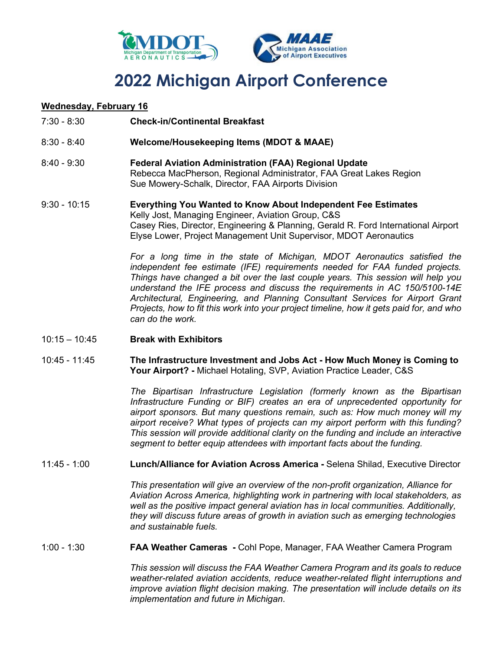

# **2022 Michigan Airport Conference**

### **Wednesday, February 16**

- 7:30 8:30 **Check-in/Continental Breakfast**
- 8:30 8:40 **Welcome/Housekeeping Items (MDOT & MAAE)**
- 8:40 9:30 **Federal Aviation Administration (FAA) Regional Update** Rebecca MacPherson, Regional Administrator, FAA Great Lakes Region Sue Mowery-Schalk, Director, FAA Airports Division
- 9:30 10:15 **Everything You Wanted to Know About Independent Fee Estimates** Kelly Jost, Managing Engineer, Aviation Group, C&S Casey Ries, Director, Engineering & Planning, Gerald R. Ford International Airport Elyse Lower, Project Management Unit Supervisor, MDOT Aeronautics

*For a long time in the state of Michigan, MDOT Aeronautics satisfied the independent fee estimate (IFE) requirements needed for FAA funded projects. Things have changed a bit over the last couple years. This session will help you understand the IFE process and discuss the requirements in AC 150/5100-14E Architectural, Engineering, and Planning Consultant Services for Airport Grant Projects, how to fit this work into your project timeline, how it gets paid for, and who can do the work.*

- 10:15 10:45 **Break with Exhibitors**
- 10:45 11:45 **The Infrastructure Investment and Jobs Act - How Much Money is Coming to Your Airport? -** Michael Hotaling, SVP, Aviation Practice Leader, C&S

*The Bipartisan Infrastructure Legislation (formerly known as the Bipartisan Infrastructure Funding or BIF) creates an era of unprecedented opportunity for airport sponsors. But many questions remain, such as: How much money will my airport receive? What types of projects can my airport perform with this funding? This session will provide additional clarity on the funding and include an interactive segment to better equip attendees with important facts about the funding.*

11:45 - 1:00 **Lunch/Alliance for Aviation Across America -** Selena Shilad, Executive Director

*This presentation will give an overview of the non-profit organization, Alliance for Aviation Across America, highlighting work in partnering with local stakeholders, as well as the positive impact general aviation has in local communities. Additionally, they will discuss future areas of growth in aviation such as emerging technologies and sustainable fuels.*

1:00 - 1:30 **FAA Weather Cameras -** Cohl Pope, Manager, FAA Weather Camera Program

*This session will discuss the FAA Weather Camera Program and its goals to reduce weather-related aviation accidents, reduce weather-related flight interruptions and improve aviation flight decision making. The presentation will include details on its implementation and future in Michigan*.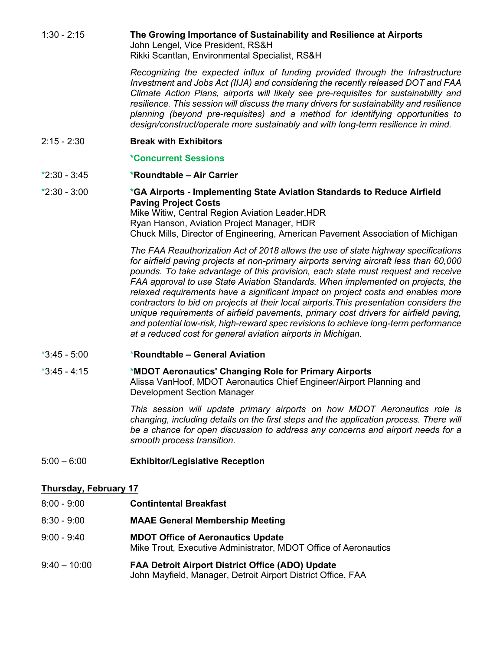1:30 - 2:15 **The Growing Importance of Sustainability and Resilience at Airports** John Lengel, Vice President, RS&H

Rikki Scantlan, Environmental Specialist, RS&H

*Recognizing the expected influx of funding provided through the Infrastructure Investment and Jobs Act (IIJA) and considering the recently released DOT and FAA Climate Action Plans, airports will likely see pre-requisites for sustainability and resilience. This session will discuss the many drivers for sustainability and resilience planning (beyond pre-requisites) and a method for identifying opportunities to design/construct/operate more sustainably and with long-term resilience in mind.*

2:15 - 2:30 **Break with Exhibitors**

#### **\*Concurrent Sessions**

- \*2:30 3:45 **\*Roundtable – Air Carrier**
- \*2:30 3:00 **\*GA Airports - Implementing State Aviation Standards to Reduce Airfield Paving Project Costs** Mike Witiw, Central Region Aviation Leader,HDR

Ryan Hanson, Aviation Project Manager, HDR Chuck Mills, Director of Engineering, American Pavement Association of Michigan

*The FAA Reauthorization Act of 2018 allows the use of state highway specifications for airfield paving projects at non-primary airports serving aircraft less than 60,000 pounds. To take advantage of this provision, each state must request and receive FAA approval to use State Aviation Standards. When implemented on projects, the relaxed requirements have a significant impact on project costs and enables more contractors to bid on projects at their local airports.This presentation considers the unique requirements of airfield pavements, primary cost drivers for airfield paving, and potential low-risk, high-reward spec revisions to achieve long-term performance at a reduced cost for general aviation airports in Michigan.*

#### \*3:45 - 5:00 \***Roundtable – General Aviation**

\*3:45 - 4:15 **\*MDOT Aeronautics' Changing Role for Primary Airports** Alissa VanHoof, MDOT Aeronautics Chief Engineer/Airport Planning and Development Section Manager

> *This session will update primary airports on how MDOT Aeronautics role is changing, including details on the first steps and the application process. There will be a chance for open discussion to address any concerns and airport needs for a smooth process transition.*

5:00 – 6:00 **Exhibitor/Legislative Reception**

### **Thursday, February 17**

- 8:00 9:00 **Contintental Breakfast**
- 8:30 9:00 **MAAE General Membership Meeting**
- 9:00 9:40 **MDOT Office of Aeronautics Update** Mike Trout, Executive Administrator, MDOT Office of Aeronautics
- 9:40 10:00 **FAA Detroit Airport District Office (ADO) Update** John Mayfield, Manager, Detroit Airport District Office, FAA